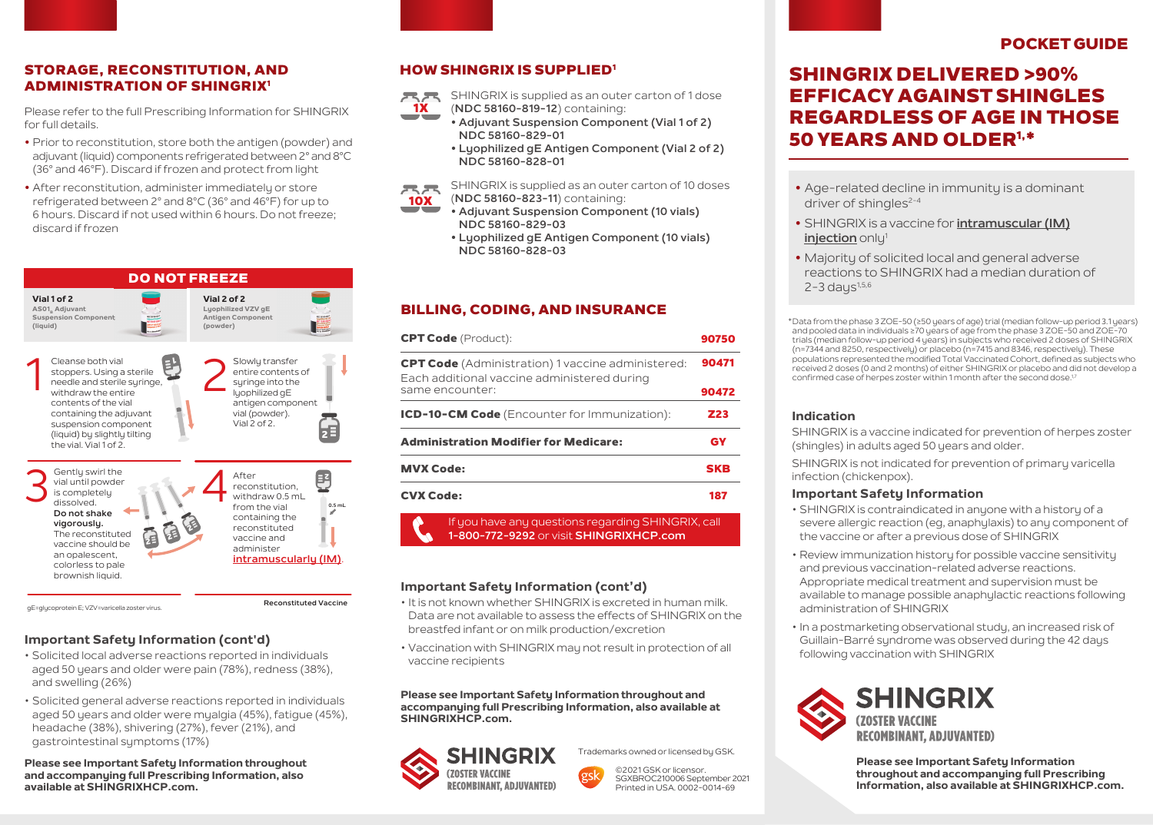### STORAGE, RECONSTITUTION, AND ADMINISTRATION OF SHINGRIX1

Please refer to the full Prescribing Information for SHINGRIX for full details.

- **•** Prior to reconstitution, store both the antigen (powder) and adjuvant (liquid) components refrigerated between 2° and 8°C (36° and 46°F). Discard if frozen and protect from light
- **•** After reconstitution, administer immediately or store refrigerated between 2° and 8°C (36° and 46°F) for up to 6 hours. Discard if not used within 6 hours. Do not freeze; discard if frozen



#### **Important Safety Information (cont'd)**

- Solicited local adverse reactions reported in individuals aged 50 years and older were pain (78%), redness (38%), and swelling (26%)
- Solicited general adverse reactions reported in individuals aged 50 years and older were myalgia (45%), fatigue (45%), headache (38%), shivering (27%), fever (21%), and gastrointestinal symptoms (17%)

#### **Please see Important Safety Information throughout and accompanying full Prescribing Information, also available at SHINGRIXHCP.com.**

### HOW SHINGRIX IS SUPPLIED1

SHINGRIX is supplied as an outer carton of 1 dose SHINGRIX is supplied as an outer package of 1 dose

- (**NDC 58160-819-12**) containing: (**NDC 58160-819-12**) containing: 1X
	- Adjuvant Suspension Component (Vial 1 of 2) **NDC 58160-829-01**
	- **Lyophilized gE Antigen Component (Vial 2 of 2)**  $NDC 58160 - 828 - 01$ **• Adjuvant Suspension Component (Vial 1 of 2) NDC 58160-829-01 • Lyophilized gE Antigen Component (Vial 2 of 2) NDC 58160-828-01**

SHINGRIX is supplied as an outer carton of 10 doses 呆呆 (**NDC 58160-823-11**) containing: **• Lyophilized gE Antigen Component (10 vials) NDC 58160-828-03** (**NDC 58160-823-11** ) containing: 10X

- **•** Adjuvant Suspension Component (10 vials) **NDC 58160-829-03** 
	- **Lyophilized gE Antigen Component (10 vials) Lyophilized gE Antigen Component (10 vials) NDC 58160-828-03 NDC 58160-828-03**

#### BILLING, CODING, AND INSURANCE

| <b>CPT Code</b> (Product):                                                                              | 90750      |
|---------------------------------------------------------------------------------------------------------|------------|
| <b>CPT Code</b> (Administration) 1 vaccine administered:<br>Each additional vaccine administered during | 90471      |
| same encounter:                                                                                         | 90472      |
| ICD-10-CM Code (Encounter for Immunization):                                                            | Z23        |
| <b>Administration Modifier for Medicare:</b>                                                            | <b>GY</b>  |
| <b>MVX Code:</b>                                                                                        | <b>SKB</b> |
| <b>CVX Code:</b>                                                                                        | 187        |
| If you have any questions regarding SHINGRIX, call<br>1-800-772-9292 or visit SHINGRIXHCP.com           |            |

#### **Important Safety Information (cont'd)**

- It is not known whether SHINGRIX is excreted in human milk. Data are not available to assess the effects of SHINGRIX on the breastfed infant or on milk production/excretion
- Vaccination with SHINGRIX may not result in protection of all vaccine recipients

**Please see Important Safety Information throughout and accompanying full Prescribing Information, also available at SHINGRIXHCP.com.**





©2021 GSK or licensor. SGXBROC210006 September 2021 Printed in USA. 0002-0014-69

# POCKET GUIDE

# SHINGRIX DELIVERED >90% EFFICACY AGAINST SHINGLES REGARDLESS OF AGE IN THOSE 50 YEARS AND OLDER1,\*

- **•** Age-related decline in immunity is a dominant driver of shingles $2-4$
- **•** SHINGRIX is a vaccine for **intramuscular (IM) injection** only<sup>1</sup>
- **•** Majority of solicited local and general adverse reactions to SHINGRIX had a median duration of  $2 - 3$  days<sup> $1,5,6$ </sup>

Data from the phase 3 ZOE-50 (≥50 years of age) trial (median follow-up period 3.1 years) \* and pooled data in individuals ≥70 years of age from the phase 3 ZOE-50 and ZOE-70 trials (median follow-up period 4 years) in subjects who received 2 doses of SHINGRIX (n=7344 and 8250, respectively) or placebo (n=7415 and 8346, respectively). These populations represented the modified Total Vaccinated Cohort, defined as subjects who received 2 doses (0 and 2 months) of either SHINGRIX or placebo and did not develop a confirmed case of herpes zoster within 1 month after the second dose.<sup>1,7</sup>

#### **Indication**

SHINGRIX is a vaccine indicated for prevention of herpes zoster (shingles) in adults aged 50 years and older.

SHINGRIX is not indicated for prevention of primary varicella infection (chickenpox).

#### **Important Safety Information**

- SHINGRIX is contraindicated in anyone with a history of a severe allergic reaction (eg, anaphylaxis) to any component of the vaccine or after a previous dose of SHINGRIX
- Review immunization history for possible vaccine sensitivity and previous vaccination-related adverse reactions. Appropriate medical treatment and supervision must be available to manage possible anaphylactic reactions following administration of SHINGRIX
- In a postmarketing observational study, an increased risk of Guillain-Barré syndrome was observed during the 42 days following vaccination with SHINGRIX



**Please see Important Safety Information throughout and accompanying full Prescribing Information, also available at SHINGRIXHCP.com.**